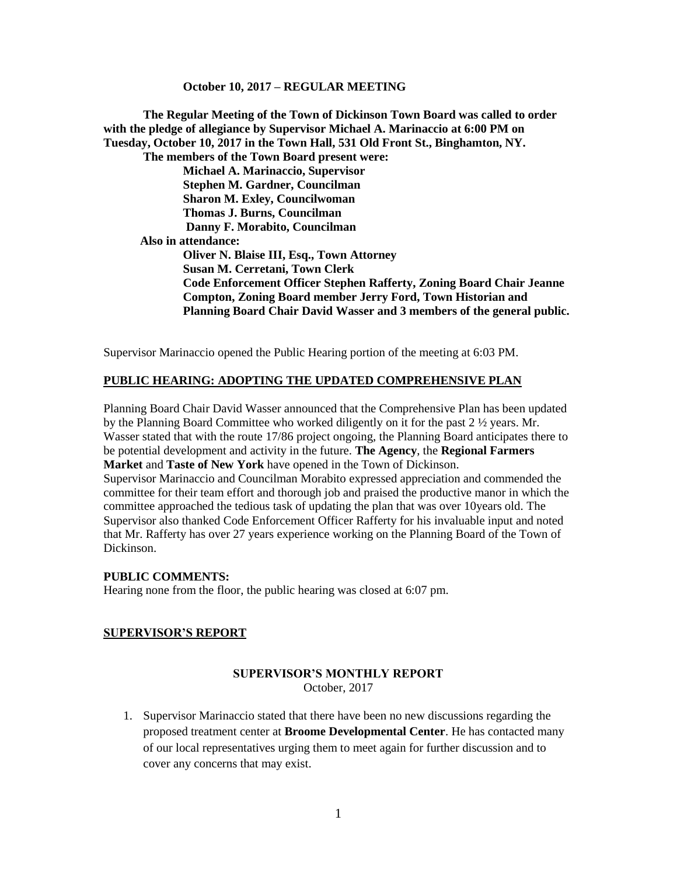**The Regular Meeting of the Town of Dickinson Town Board was called to order with the pledge of allegiance by Supervisor Michael A. Marinaccio at 6:00 PM on Tuesday, October 10, 2017 in the Town Hall, 531 Old Front St., Binghamton, NY. The members of the Town Board present were: Michael A. Marinaccio, Supervisor Stephen M. Gardner, Councilman Sharon M. Exley, Councilwoman Thomas J. Burns, Councilman Danny F. Morabito, Councilman Also in attendance: Oliver N. Blaise III, Esq., Town Attorney Susan M. Cerretani, Town Clerk Code Enforcement Officer Stephen Rafferty, Zoning Board Chair Jeanne Compton, Zoning Board member Jerry Ford, Town Historian and Planning Board Chair David Wasser and 3 members of the general public.**

Supervisor Marinaccio opened the Public Hearing portion of the meeting at 6:03 PM.

# **PUBLIC HEARING: ADOPTING THE UPDATED COMPREHENSIVE PLAN**

Planning Board Chair David Wasser announced that the Comprehensive Plan has been updated by the Planning Board Committee who worked diligently on it for the past 2 ½ years. Mr. Wasser stated that with the route 17/86 project ongoing, the Planning Board anticipates there to be potential development and activity in the future. **The Agency**, the **Regional Farmers Market** and **Taste of New York** have opened in the Town of Dickinson.

Supervisor Marinaccio and Councilman Morabito expressed appreciation and commended the committee for their team effort and thorough job and praised the productive manor in which the committee approached the tedious task of updating the plan that was over 10years old. The Supervisor also thanked Code Enforcement Officer Rafferty for his invaluable input and noted that Mr. Rafferty has over 27 years experience working on the Planning Board of the Town of Dickinson.

#### **PUBLIC COMMENTS:**

Hearing none from the floor, the public hearing was closed at 6:07 pm.

#### **SUPERVISOR'S REPORT**

#### **SUPERVISOR'S MONTHLY REPORT** October, 2017

1. Supervisor Marinaccio stated that there have been no new discussions regarding the proposed treatment center at **Broome Developmental Center**. He has contacted many of our local representatives urging them to meet again for further discussion and to cover any concerns that may exist.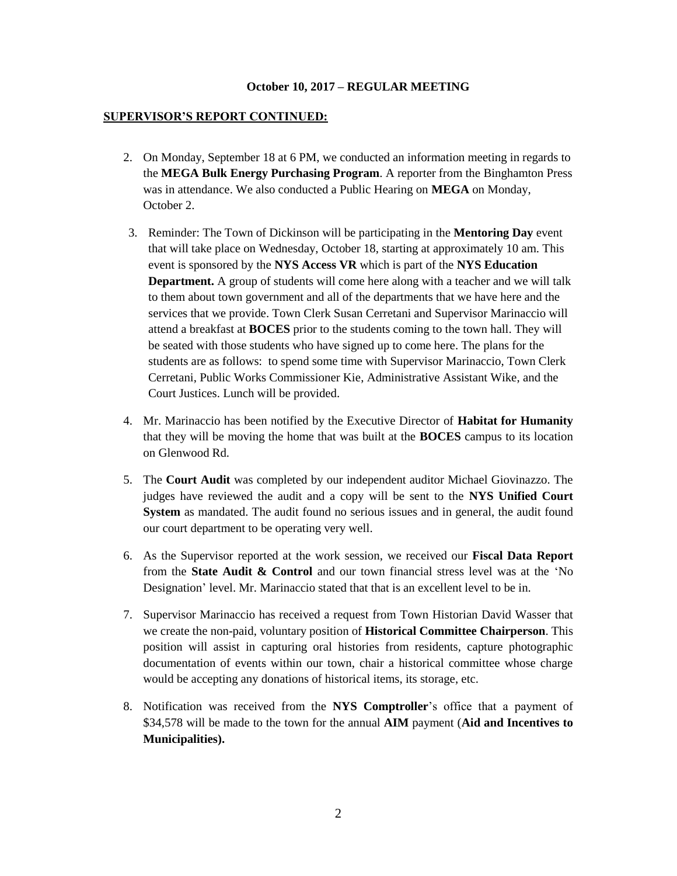### **SUPERVISOR'S REPORT CONTINUED:**

- 2. On Monday, September 18 at 6 PM, we conducted an information meeting in regards to the **MEGA Bulk Energy Purchasing Program**. A reporter from the Binghamton Press was in attendance. We also conducted a Public Hearing on **MEGA** on Monday, October 2.
- 3. Reminder: The Town of Dickinson will be participating in the **Mentoring Day** event that will take place on Wednesday, October 18, starting at approximately 10 am. This event is sponsored by the **NYS Access VR** which is part of the **NYS Education Department.** A group of students will come here along with a teacher and we will talk to them about town government and all of the departments that we have here and the services that we provide. Town Clerk Susan Cerretani and Supervisor Marinaccio will attend a breakfast at **BOCES** prior to the students coming to the town hall. They will be seated with those students who have signed up to come here. The plans for the students are as follows: to spend some time with Supervisor Marinaccio, Town Clerk Cerretani, Public Works Commissioner Kie, Administrative Assistant Wike, and the Court Justices. Lunch will be provided.
- 4. Mr. Marinaccio has been notified by the Executive Director of **Habitat for Humanity** that they will be moving the home that was built at the **BOCES** campus to its location on Glenwood Rd.
- 5. The **Court Audit** was completed by our independent auditor Michael Giovinazzo. The judges have reviewed the audit and a copy will be sent to the **NYS Unified Court System** as mandated. The audit found no serious issues and in general, the audit found our court department to be operating very well.
- 6. As the Supervisor reported at the work session, we received our **Fiscal Data Report** from the **State Audit & Control** and our town financial stress level was at the 'No Designation' level. Mr. Marinaccio stated that that is an excellent level to be in.
- 7. Supervisor Marinaccio has received a request from Town Historian David Wasser that we create the non-paid, voluntary position of **Historical Committee Chairperson**. This position will assist in capturing oral histories from residents, capture photographic documentation of events within our town, chair a historical committee whose charge would be accepting any donations of historical items, its storage, etc.
- 8. Notification was received from the **NYS Comptroller**'s office that a payment of \$34,578 will be made to the town for the annual **AIM** payment (**Aid and Incentives to Municipalities).**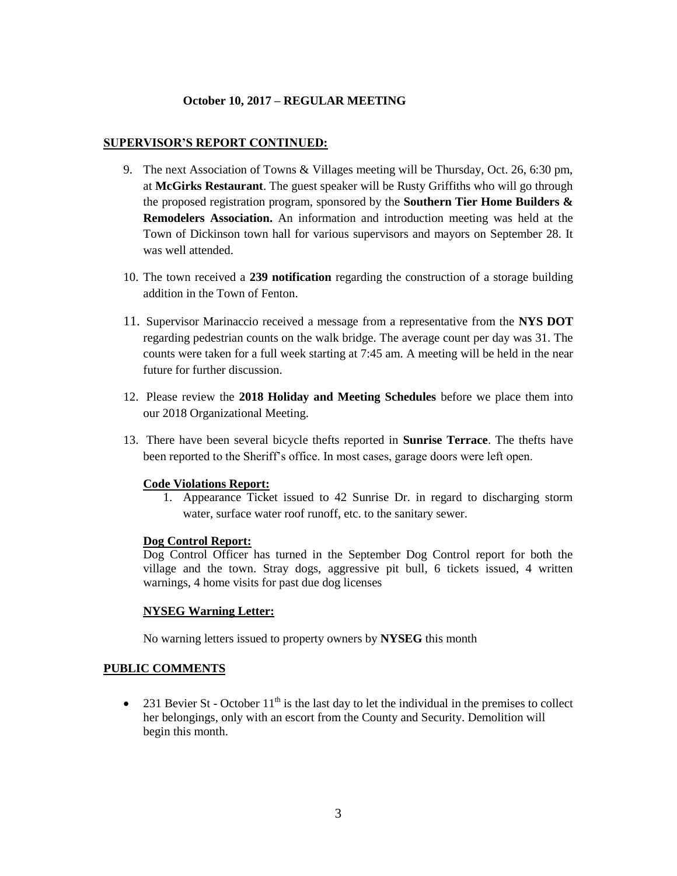#### **SUPERVISOR'S REPORT CONTINUED:**

- 9. The next Association of Towns & Villages meeting will be Thursday, Oct. 26, 6:30 pm, at **McGirks Restaurant**. The guest speaker will be Rusty Griffiths who will go through the proposed registration program, sponsored by the **Southern Tier Home Builders & Remodelers Association.** An information and introduction meeting was held at the Town of Dickinson town hall for various supervisors and mayors on September 28. It was well attended.
- 10. The town received a **239 notification** regarding the construction of a storage building addition in the Town of Fenton.
- 11. Supervisor Marinaccio received a message from a representative from the **NYS DOT** regarding pedestrian counts on the walk bridge. The average count per day was 31. The counts were taken for a full week starting at 7:45 am. A meeting will be held in the near future for further discussion.
- 12. Please review the **2018 Holiday and Meeting Schedules** before we place them into our 2018 Organizational Meeting.
- 13. There have been several bicycle thefts reported in **Sunrise Terrace**. The thefts have been reported to the Sheriff's office. In most cases, garage doors were left open.

#### **Code Violations Report:**

1. Appearance Ticket issued to 42 Sunrise Dr. in regard to discharging storm water, surface water roof runoff, etc. to the sanitary sewer.

#### **Dog Control Report:**

Dog Control Officer has turned in the September Dog Control report for both the village and the town. Stray dogs, aggressive pit bull, 6 tickets issued, 4 written warnings, 4 home visits for past due dog licenses

# **NYSEG Warning Letter:**

No warning letters issued to property owners by **NYSEG** this month

# **PUBLIC COMMENTS**

• 231 Bevier St - October  $11<sup>th</sup>$  is the last day to let the individual in the premises to collect her belongings, only with an escort from the County and Security. Demolition will begin this month.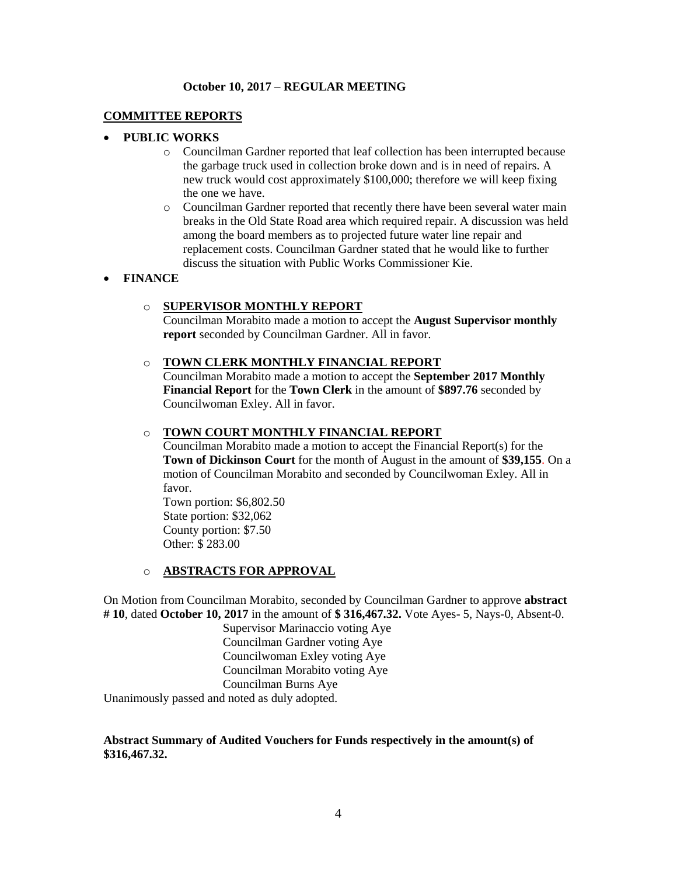# **COMMITTEE REPORTS**

# **PUBLIC WORKS**

- o Councilman Gardner reported that leaf collection has been interrupted because the garbage truck used in collection broke down and is in need of repairs. A new truck would cost approximately \$100,000; therefore we will keep fixing the one we have.
- o Councilman Gardner reported that recently there have been several water main breaks in the Old State Road area which required repair. A discussion was held among the board members as to projected future water line repair and replacement costs. Councilman Gardner stated that he would like to further discuss the situation with Public Works Commissioner Kie.

### **FINANCE**

### o **SUPERVISOR MONTHLY REPORT**

Councilman Morabito made a motion to accept the **August Supervisor monthly report** seconded by Councilman Gardner. All in favor.

#### o **TOWN CLERK MONTHLY FINANCIAL REPORT**

Councilman Morabito made a motion to accept the **September 2017 Monthly Financial Report** for the **Town Clerk** in the amount of **\$897.76** seconded by Councilwoman Exley. All in favor.

#### o **TOWN COURT MONTHLY FINANCIAL REPORT**

Councilman Morabito made a motion to accept the Financial Report(s) for the **Town of Dickinson Court** for the month of August in the amount of **\$39,155**. On a motion of Councilman Morabito and seconded by Councilwoman Exley. All in favor.

Town portion: \$6,802.50 State portion: \$32,062 County portion: \$7.50 Other: \$ 283.00

#### o **ABSTRACTS FOR APPROVAL**

On Motion from Councilman Morabito, seconded by Councilman Gardner to approve **abstract # 10**, dated **October 10, 2017** in the amount of **\$ 316,467.32.** Vote Ayes- 5, Nays-0, Absent-0.

> Supervisor Marinaccio voting Aye Councilman Gardner voting Aye Councilwoman Exley voting Aye Councilman Morabito voting Aye Councilman Burns Aye

Unanimously passed and noted as duly adopted.

# **Abstract Summary of Audited Vouchers for Funds respectively in the amount(s) of \$316,467.32.**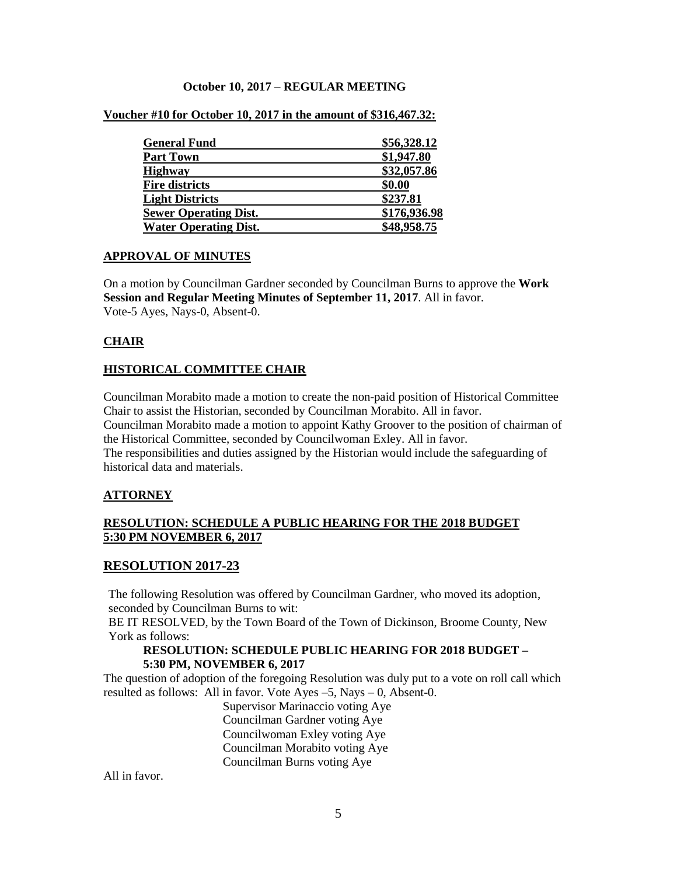| <b>General Fund</b>          | \$56,328.12  |
|------------------------------|--------------|
| <b>Part Town</b>             | \$1,947.80   |
| <b>Highway</b>               | \$32,057.86  |
| <b>Fire districts</b>        | \$0.00       |
| <b>Light Districts</b>       | \$237.81     |
| <b>Sewer Operating Dist.</b> | \$176,936.98 |
| <b>Water Operating Dist.</b> | \$48,958.75  |

### **Voucher #10 for October 10, 2017 in the amount of \$316,467.32:**

### **APPROVAL OF MINUTES**

On a motion by Councilman Gardner seconded by Councilman Burns to approve the **Work Session and Regular Meeting Minutes of September 11, 2017**. All in favor. Vote-5 Ayes, Nays-0, Absent-0.

# **CHAIR**

# **HISTORICAL COMMITTEE CHAIR**

Councilman Morabito made a motion to create the non-paid position of Historical Committee Chair to assist the Historian, seconded by Councilman Morabito. All in favor. Councilman Morabito made a motion to appoint Kathy Groover to the position of chairman of the Historical Committee, seconded by Councilwoman Exley. All in favor. The responsibilities and duties assigned by the Historian would include the safeguarding of historical data and materials.

# **ATTORNEY**

# **RESOLUTION: SCHEDULE A PUBLIC HEARING FOR THE 2018 BUDGET 5:30 PM NOVEMBER 6, 2017**

# **RESOLUTION 2017-23**

The following Resolution was offered by Councilman Gardner, who moved its adoption, seconded by Councilman Burns to wit:

BE IT RESOLVED, by the Town Board of the Town of Dickinson, Broome County, New York as follows:

### **RESOLUTION: SCHEDULE PUBLIC HEARING FOR 2018 BUDGET – 5:30 PM, NOVEMBER 6, 2017**

The question of adoption of the foregoing Resolution was duly put to a vote on roll call which resulted as follows: All in favor. Vote Ayes –5, Nays – 0, Absent-0.

Supervisor Marinaccio voting Aye Councilman Gardner voting Aye Councilwoman Exley voting Aye Councilman Morabito voting Aye Councilman Burns voting Aye

All in favor.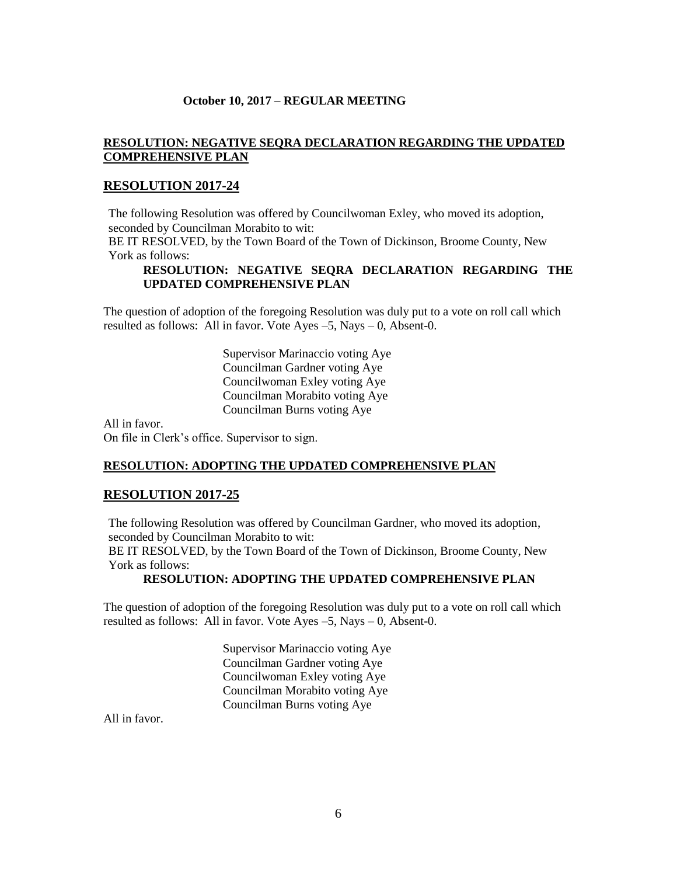# **RESOLUTION: NEGATIVE SEQRA DECLARATION REGARDING THE UPDATED COMPREHENSIVE PLAN**

# **RESOLUTION 2017-24**

The following Resolution was offered by Councilwoman Exley, who moved its adoption, seconded by Councilman Morabito to wit:

BE IT RESOLVED, by the Town Board of the Town of Dickinson, Broome County, New York as follows:

# **RESOLUTION: NEGATIVE SEQRA DECLARATION REGARDING THE UPDATED COMPREHENSIVE PLAN**

The question of adoption of the foregoing Resolution was duly put to a vote on roll call which resulted as follows: All in favor. Vote Ayes –5, Nays – 0, Absent-0.

> Supervisor Marinaccio voting Aye Councilman Gardner voting Aye Councilwoman Exley voting Aye Councilman Morabito voting Aye Councilman Burns voting Aye

All in favor. On file in Clerk's office. Supervisor to sign.

# **RESOLUTION: ADOPTING THE UPDATED COMPREHENSIVE PLAN**

# **RESOLUTION 2017-25**

The following Resolution was offered by Councilman Gardner, who moved its adoption, seconded by Councilman Morabito to wit:

BE IT RESOLVED, by the Town Board of the Town of Dickinson, Broome County, New York as follows:

### **RESOLUTION: ADOPTING THE UPDATED COMPREHENSIVE PLAN**

The question of adoption of the foregoing Resolution was duly put to a vote on roll call which resulted as follows: All in favor. Vote Ayes –5, Nays – 0, Absent-0.

> Supervisor Marinaccio voting Aye Councilman Gardner voting Aye Councilwoman Exley voting Aye Councilman Morabito voting Aye Councilman Burns voting Aye

All in favor.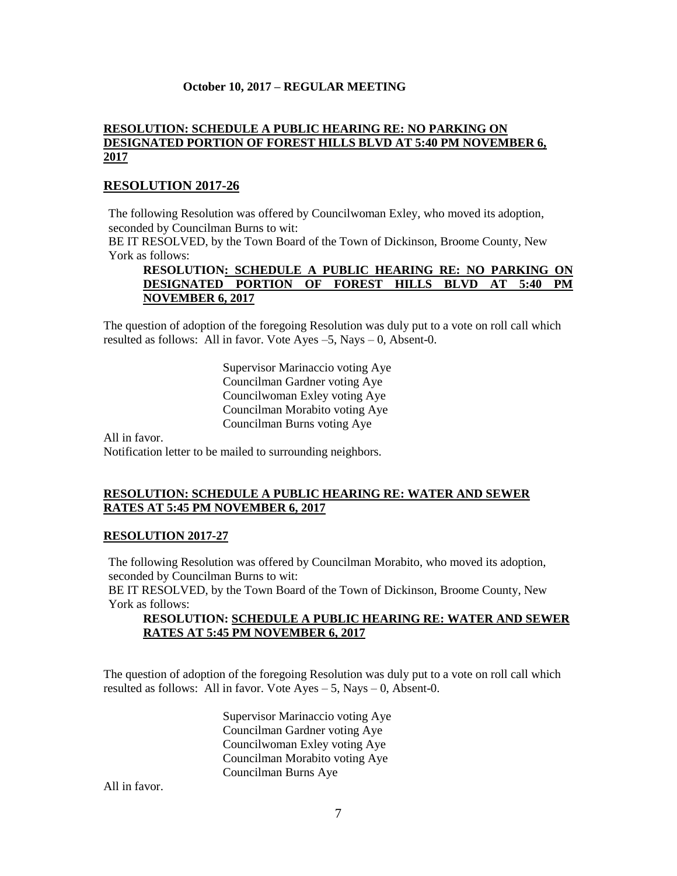### **RESOLUTION: SCHEDULE A PUBLIC HEARING RE: NO PARKING ON DESIGNATED PORTION OF FOREST HILLS BLVD AT 5:40 PM NOVEMBER 6, 2017**

# **RESOLUTION 2017-26**

The following Resolution was offered by Councilwoman Exley, who moved its adoption, seconded by Councilman Burns to wit:

BE IT RESOLVED, by the Town Board of the Town of Dickinson, Broome County, New York as follows:

# **RESOLUTION: SCHEDULE A PUBLIC HEARING RE: NO PARKING ON DESIGNATED PORTION OF FOREST HILLS BLVD AT 5:40 PM NOVEMBER 6, 2017**

The question of adoption of the foregoing Resolution was duly put to a vote on roll call which resulted as follows: All in favor. Vote Ayes –5, Nays – 0, Absent-0.

> Supervisor Marinaccio voting Aye Councilman Gardner voting Aye Councilwoman Exley voting Aye Councilman Morabito voting Aye Councilman Burns voting Aye

All in favor. Notification letter to be mailed to surrounding neighbors.

# **RESOLUTION: SCHEDULE A PUBLIC HEARING RE: WATER AND SEWER RATES AT 5:45 PM NOVEMBER 6, 2017**

# **RESOLUTION 2017-27**

The following Resolution was offered by Councilman Morabito, who moved its adoption, seconded by Councilman Burns to wit:

BE IT RESOLVED, by the Town Board of the Town of Dickinson, Broome County, New York as follows:

# **RESOLUTION: SCHEDULE A PUBLIC HEARING RE: WATER AND SEWER RATES AT 5:45 PM NOVEMBER 6, 2017**

The question of adoption of the foregoing Resolution was duly put to a vote on roll call which resulted as follows: All in favor. Vote  $Ayes - 5$ , Nays  $- 0$ , Absent-0.

> Supervisor Marinaccio voting Aye Councilman Gardner voting Aye Councilwoman Exley voting Aye Councilman Morabito voting Aye Councilman Burns Aye

All in favor.